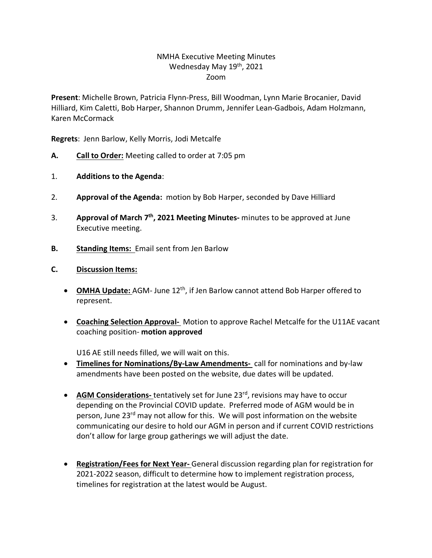## NMHA Executive Meeting Minutes Wednesday May 19th, 2021 Zoom

**Present**: Michelle Brown, Patricia Flynn-Press, Bill Woodman, Lynn Marie Brocanier, David Hilliard, Kim Caletti, Bob Harper, Shannon Drumm, Jennifer Lean-Gadbois, Adam Holzmann, Karen McCormack

**Regrets**: Jenn Barlow, Kelly Morris, Jodi Metcalfe

- **A. Call to Order:** Meeting called to order at 7:05 pm
- 1. **Additions to the Agenda**:
- 2. **Approval of the Agenda:** motion by Bob Harper, seconded by Dave Hilliard
- 3. **Approval of March 7th, 2021 Meeting Minutes-** minutes to be approved at June Executive meeting.
- **B. Standing Items:** Email sent from Jen Barlow
- **C. Discussion Items:** 
	- OMHA Update: AGM- June 12<sup>th</sup>, if Jen Barlow cannot attend Bob Harper offered to represent.
	- **Coaching Selection Approval-** Motion to approve Rachel Metcalfe for the U11AE vacant coaching position- **motion approved**

U16 AE still needs filled, we will wait on this.

- **Timelines for Nominations/By-Law Amendments-** call for nominations and by-law amendments have been posted on the website, due dates will be updated.
- **AGM Considerations-** tentatively set for June 23<sup>rd</sup>, revisions may have to occur depending on the Provincial COVID update. Preferred mode of AGM would be in person, June 23rd may not allow for this. We will post information on the website communicating our desire to hold our AGM in person and if current COVID restrictions don't allow for large group gatherings we will adjust the date.
- **Registration/Fees for Next Year-** General discussion regarding plan for registration for 2021-2022 season, difficult to determine how to implement registration process, timelines for registration at the latest would be August.